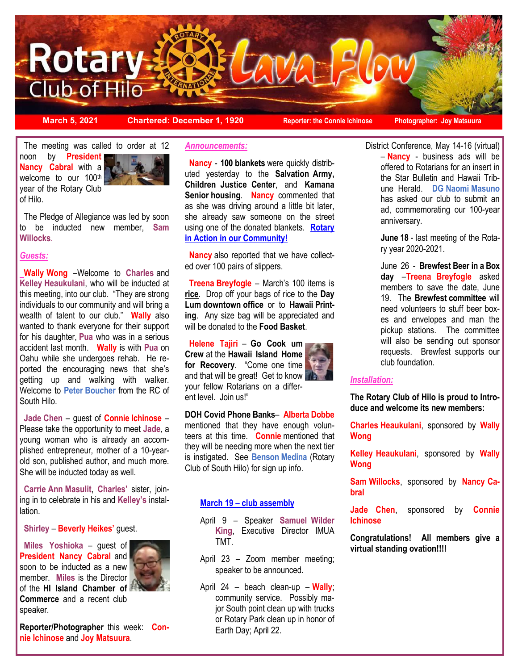

**March 5, 2021 Chartered: December 1, 1920 Reporter: the Connie Ichinose Photographer: Joy Matsuura**

 The meeting was called to order at 12 noon by **President Nancy Cabral** with a welcome to our 100<sup>th</sup> year of the Rotary Club of Hilo.



The Pledge of Allegiance was led by soon to be inducted new member, **Sam Willocks**.

## *Guests:*

**Wally Wong** –Welcome to **Charles** and **Kelley Heaukulani**, who will be inducted at this meeting, into our club. "They are strong individuals to our community and will bring a wealth of talent to our club." **Wally** also wanted to thank everyone for their support for his daughter, **Pua** who was in a serious accident last month. **Wally** is with **Pua** on Oahu while she undergoes rehab. He reported the encouraging news that she's getting up and walking with walker. Welcome to **Peter Boucher** from the RC of South Hilo.

 **Jade Chen** – guest of **Connie Ichinose** – Please take the opportunity to meet **Jade**, a young woman who is already an accomplished entrepreneur, mother of a 10-yearold son, published author, and much more. She will be inducted today as well.

 **Carrie Ann Masulit**, **Charles'** sister, joining in to celebrate in his and **Kelley's** installation.

 **Shirley** – **Beverly Heikes'** guest.

 **Miles Yoshioka** – guest of **President Nancy Cabral** and soon to be inducted as a new member. **Miles** is the Director of the **HI Island Chamber of Commerce** and a recent club speaker.



## *Announcements:*

**Nancy** - **100 blankets** were quickly distributed yesterday to the **Salvation Army, Children Justice Center**, and **Kamana Senior housing**. **Nancy** commented that as she was driving around a little bit later, she already saw someone on the street using one of the donated blankets. **Rotary in Action in our Community!**

 **Nancy** also reported that we have collected over 100 pairs of slippers.

 **Treena Breyfogle** – March's 100 items is **rice**. Drop off your bags of rice to the **Day Lum downtown office** or to **Hawaii Printing**. Any size bag will be appreciated and will be donated to the **Food Basket**.

 **Helene Tajiri** – **Go Cook um Crew** at the **Hawaii Island Home for Recovery**. "Come one time and that will be great! Get to know your fellow Rotarians on a different level. Join us!"

**DOH Covid Phone Banks**– **Alberta Dobbe** mentioned that they have enough volunteers at this time. **Connie** mentioned that they will be needing more when the next tier is instigated. See **Benson Medina** (Rotary Club of South Hilo) for sign up info.

## **March 19 – club assembly**

- April 9 Speaker **Samuel Wilder King**, Executive Director IMUA TMT.
- April 23 Zoom member meeting; speaker to be announced.
- April 24 beach clean-up **Wally**; community service. Possibly major South point clean up with trucks or Rotary Park clean up in honor of Earth Day; April 22.

District Conference, May 14-16 (virtual) – **Nancy** - business ads will be offered to Rotarians for an insert in the Star Bulletin and Hawaii Tribune Herald. **DG Naomi Masuno** has asked our club to submit an ad, commemorating our 100-year anniversary.

> **June 18** - last meeting of the Rotary year 2020-2021.

June 26 - **Brewfest Beer in a Box day** –**Treena Breyfogle** asked members to save the date, June 19. The **Brewfest committee** will need volunteers to stuff beer boxes and envelopes and man the pickup stations. The committee will also be sending out sponsor requests. Brewfest supports our club foundation.

#### *Installation:*

**The Rotary Club of Hilo is proud to Introduce and welcome its new members:** 

**Charles Heaukulani**, sponsored by **Wally Wong**

**Kelley Heaukulani**, sponsored by **Wally Wong**

**Sam Willocks**, sponsored by **Nancy Cabral**

**Jade Chen**, sponsored by **Connie Ichinose**

**Congratulations! All members give a virtual standing ovation!!!!**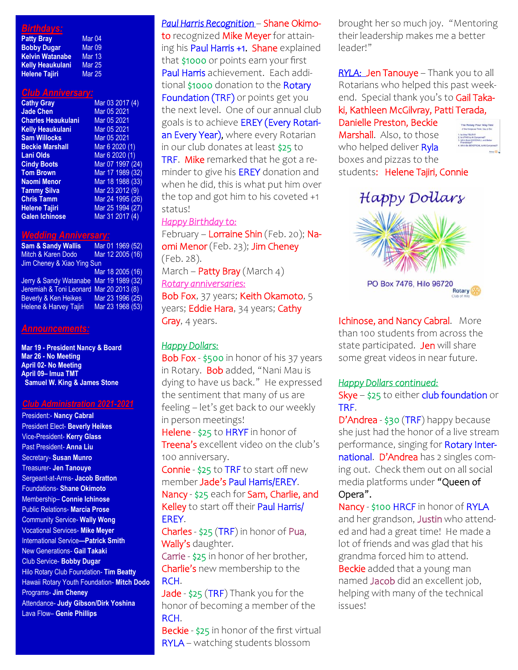# *Birthdays:*

| <b>Patty Bray</b>       | Mar <sub>04</sub> |
|-------------------------|-------------------|
| <b>Bobby Dugar</b>      | <b>Mar 09</b>     |
| <b>Kelvin Watanabe</b>  | Mar 13            |
| <b>Kelly Heaukulani</b> | <b>Mar 25</b>     |
| <b>Helene Tajiri</b>    | <b>Mar 25</b>     |

#### *Club Anniversary:*

| <b>Cathy Gray</b>         | Mar 03 2017 (4)  |
|---------------------------|------------------|
| <b>Jade Chen</b>          | Mar 05 2021      |
| <b>Charles Heaukulani</b> | Mar 05 2021      |
| <b>Kelly Heaukulani</b>   | Mar 05 2021      |
| <b>Sam Willocks</b>       | Mar 05 2021      |
| <b>Beckie Marshall</b>    | Mar 6 2020 (1)   |
| <b>Lani Olds</b>          | Mar 6 2020 (1)   |
| <b>Cindy Boots</b>        | Mar 07 1997 (24) |
| <b>Tom Brown</b>          | Mar 17 1989 (32) |
| Naomi Menor               | Mar 18 1988 (33) |
| <b>Tammy Silva</b>        | Mar 23 2012 (9)  |
| <b>Chris Tamm</b>         | Mar 24 1995 (26) |
| <b>Helene Tajiri</b>      | Mar 25 1994 (27) |
| <b>Galen Ichinose</b>     | Mar 31 2017 (4)  |

#### *Wedding Anniversary:*

**Sam & Sandy Wallis** Mar 01 1969 (52) Mitch & Karen Dodo Mar 12 2005 (16) Jim Cheney & Xiao Ying Sun Mar 18 2005 (16) Jerry & Sandy Watanabe Mar 19 1989 (32) Jeremiah & Toni Leonard Mar 20 2013 (8) Beverly & Ken Heikes Mar 23 1996 (25)<br>Helene & Harvey Tajiri Mar 23 1968 (53) Helene & Harvey Tajiri

#### *Announcements:*

**Mar 19 - President Nancy & Board Mar 26 - No Meeting April 02- No Meeting April 09– Imua TMT Samuel W. King & James Stone**

### *Club Administration 2021-2021*

President:- **Nancy Cabral**  President Elect- **Beverly Heikes** Vice-President- **Kerry Glass** Past President- **Anna Liu** Secretary- **Susan Munro** Treasurer- **Jen Tanouye** Sergeant-at-Arms- **Jacob Bratton** Foundations- **Shane Okimoto** Membership– **Connie Ichinose** Public Relations- **Marcia Prose** Community Service- **Wally Wong** Vocational Services- **Mike Meyer** International Service**—Patrick Smith** New Generations- **Gail Takaki** Club Service- **Bobby Dugar** Hilo Rotary Club Foundation- **Tim Beatty** Hawaii Rotary Youth Foundation- **Mitch Dodo** Programs- **Jim Cheney** Attendance- **Judy Gibson/Dirk Yoshina** Lava Flow– **Genie Phillips**

*Paul Harris Recognition* – Shane Okimoto recognized Mike Meyer for attaining his Paul Harris +1. Shane explained that \$1000 or points earn your first Paul Harris achievement. Each additional \$1000 donation to the Rotary Foundation (TRF) or points get you the next level. One of our annual club goals is to achieve EREY (Every Rotarian Every Year), where every Rotarian in our club donates at least \$25 to TRF. Mike remarked that he got a reminder to give his EREY donation and when he did, this is what put him over the top and got him to his coveted +1 status!

#### *Happy Birthday to:*

February – Lorraine Shin (Feb. 20); Naomi Menor (Feb. 23); Jim Cheney (Feb. 28). March – Patty Bray (March 4) *Rotary anniversaries:*  Bob Fox, 37 years; Keith Okamoto, 5 years; Eddie Hara, 34 years; Cathy Gray, 4 years.

## *Happy Dollars:*

Bob Fox - \$500 in honor of his 37 years in Rotary. Bob added, "Nani Mau is dying to have us back." He expressed the sentiment that many of us are feeling – let's get back to our weekly in person meetings!

Helene - \$25 to HRYF in honor of Treena's excellent video on the club's 100 anniversary.

Connie - \$25 to TRF to start off new member Jade's Paul Harris/EREY. Nancy - \$25 each for Sam, Charlie, and Kelley to start off their Paul Harris/ EREY.

Charles - \$25 (TRF) in honor of Pua, Wally's daughter.

Carrie - \$25 in honor of her brother, Charlie's new membership to the RCH.

Jade - \$25 (TRF) Thank you for the honor of becoming a member of the RCH.

Beckie - \$25 in honor of the first virtual RYLA – watching students blossom

brought her so much joy. "Mentoring their leadership makes me a better leader!"

*RYLA:* Jen Tanouye – Thank you to all Rotarians who helped this past weekend. Special thank you's to Gail Takaki, Kathleen McGilvray, Patti Terada, Danielle Preston, Beckie

Marshall. Also, to those who helped deliver Ryla boxes and pizzas to the students: Helene Tajiri, Connie



Happy Dollars



Ichinose, and Nancy Cabral. More than 100 students from across the state participated. Jen will share some great videos in near future.

#### *Happy Dollars continued:*

Skye - \$25 to either club foundation or TRF.

D'Andrea - \$30 (TRF) happy because she just had the honor of a live stream performance, singing for Rotary International. D'Andrea has 2 singles coming out. Check them out on all social media platforms under "Queen of Opera".

Nancy - \$100 HRCF in honor of RYLA and her grandson, Justin who attended and had a great time! He made a lot of friends and was glad that his grandma forced him to attend. Beckie added that a young man named Jacob did an excellent job, helping with many of the technical issues!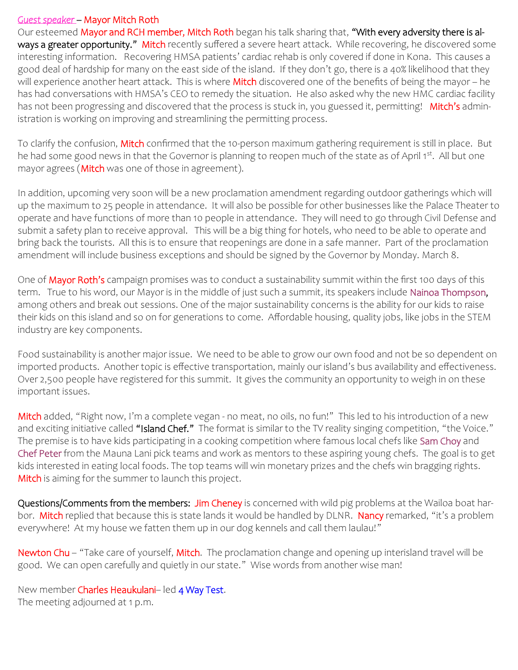# *Guest speaker* – Mayor Mitch Roth

Our esteemed Mayor and RCH member, Mitch Roth began his talk sharing that, "With every adversity there is always a greater opportunity." Mitch recently suffered a severe heart attack. While recovering, he discovered some interesting information. Recovering HMSA patients' cardiac rehab is only covered if done in Kona. This causes a good deal of hardship for many on the east side of the island. If they don't go, there is a 40% likelihood that they will experience another heart attack. This is where Mitch discovered one of the benefits of being the mayor – he has had conversations with HMSA's CEO to remedy the situation. He also asked why the new HMC cardiac facility has not been progressing and discovered that the process is stuck in, you guessed it, permitting! Mitch's administration is working on improving and streamlining the permitting process.

To clarify the confusion, Mitch confirmed that the 10-person maximum gathering requirement is still in place. But he had some good news in that the Governor is planning to reopen much of the state as of April 1st. All but one mayor agrees (**Mitch** was one of those in agreement).

In addition, upcoming very soon will be a new proclamation amendment regarding outdoor gatherings which will up the maximum to 25 people in attendance. It will also be possible for other businesses like the Palace Theater to operate and have functions of more than 10 people in attendance. They will need to go through Civil Defense and submit a safety plan to receive approval. This will be a big thing for hotels, who need to be able to operate and bring back the tourists. All this is to ensure that reopenings are done in a safe manner. Part of the proclamation amendment will include business exceptions and should be signed by the Governor by Monday. March 8.

One of Mayor Roth's campaign promises was to conduct a sustainability summit within the first 100 days of this term. True to his word, our Mayor is in the middle of just such a summit, its speakers include Nainoa Thompson, among others and break out sessions. One of the major sustainability concerns is the ability for our kids to raise their kids on this island and so on for generations to come. Affordable housing, quality jobs, like jobs in the STEM industry are key components.

Food sustainability is another major issue. We need to be able to grow our own food and not be so dependent on imported products. Another topic is effective transportation, mainly our island's bus availability and effectiveness. Over 2,500 people have registered for this summit. It gives the community an opportunity to weigh in on these important issues.

Mitch added, "Right now, I'm a complete vegan - no meat, no oils, no fun!" This led to his introduction of a new and exciting initiative called "Island Chef." The format is similar to the TV reality singing competition, "the Voice." The premise is to have kids participating in a cooking competition where famous local chefs like Sam Choy and Chef Peter from the Mauna Lani pick teams and work as mentors to these aspiring young chefs. The goal is to get kids interested in eating local foods. The top teams will win monetary prizes and the chefs win bragging rights. Mitch is aiming for the summer to launch this project.

Questions/Comments from the members: Jim Cheney is concerned with wild pig problems at the Wailoa boat harbor. Mitch replied that because this is state lands it would be handled by DLNR. Nancy remarked, "it's a problem everywhere! At my house we fatten them up in our dog kennels and call them laulau!"

Newton Chu – "Take care of yourself, Mitch. The proclamation change and opening up interisland travel will be good. We can open carefully and quietly in our state." Wise words from another wise man!

New member Charles Heaukulani- led 4 Way Test. The meeting adjourned at 1 p.m.